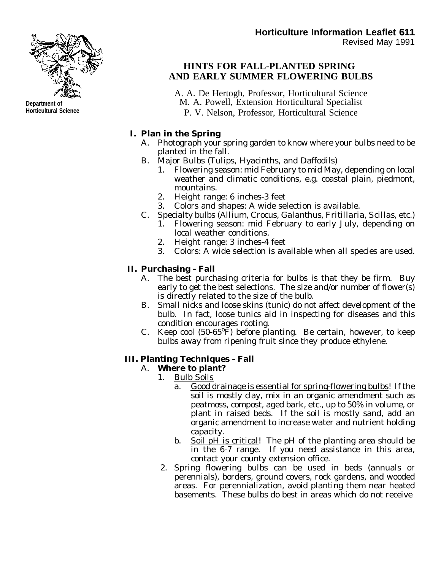

# **HINTS FOR FALL-PLANTED SPRING AND EARLY SUMMER FLOWERING BULBS**

- A. A. De Hertogh, Professor, Horticultural Science M. A. Powell, Extension Horticultural Specialist
	- P. V. Nelson, Professor, Horticultural Science

## **I. Plan in the Spring**

- A. Photograph your spring garden to know where your bulbs need to be planted in the fall.
- B. Major Bulbs (Tulips, Hyacinths, and Daffodils)
	- 1. Flowering season: mid February to mid May, depending on local weather and climatic conditions, e.g. coastal plain, piedmont, mountains.
	- 2. Height range: 6 inches-3 feet
	- 3. Colors and shapes: A wide selection is available.
- C. Specialty bulbs (*Allium*, *Crocus*, *Galanthus*, *Fritillaria*, *Scillas*, etc.)
	- 1. Flowering season: mid February to early July, depending on local weather conditions.
	- 2. Height range: 3 inches-4 feet
	- 3. Colors: A wide selection is available when all species are used.

# **II. Purchasing - Fall**

- A. The best purchasing criteria for bulbs is that they be firm. Buy early to get the best selections. The size and/or number of flower(s) is directly related to the size of the bulb.
- B. Small nicks and loose skins (tunic) do not affect development of the bulb. In fact, loose tunics aid in inspecting for diseases and this condition encourages rooting.
- C. Keep cool  $(50-65^{\circ}F)$  before planting. Be certain, however, to keep bulbs away from ripening fruit since they produce ethylene.

#### **III. Planting Techniques - Fall**

#### A. **Where to plant?**

- 1. Bulb Soils
	- a. Good drainage is essential for spring-flowering bulbs! If the soil is mostly clay, mix in an organic amendment such as peatmoss, compost, aged bark, etc., up to 50% in volume, or plant in raised beds. If the soil is mostly sand, add an organic amendment to increase water and nutrient holding capacity.
	- b. Soil pH is critical! The pH of the planting area should be in the 6-7 range. If you need assistance in this area, contact your county extension office.
- 2. Spring flowering bulbs can be used in beds (annuals or perennials), borders, ground covers, rock gardens, and wooded areas. For perennialization, avoid planting them near heated basements. These bulbs do best in areas which do not receive



**Department of Horticultural Science**